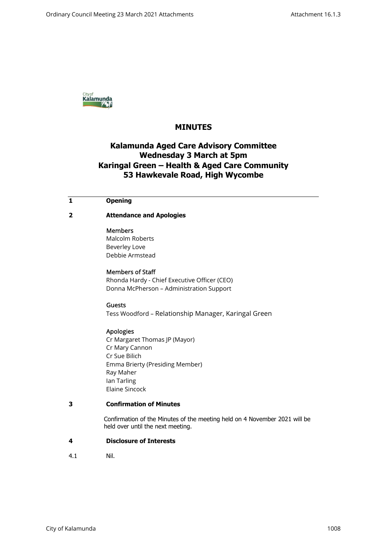

# **MINUTES**

# **Kalamunda Aged Care Advisory Committee Wednesday 3 March at 5pm Karingal Green – Health & Aged Care Community 53 Hawkevale Road, High Wycombe**

### **1 Opening**

**2 Attendance and Apologies** 

#### Members

Malcolm Roberts Beverley Love Debbie Armstead

Members of Staff Rhonda Hardy - Chief Executive Officer (CEO) Donna McPherson – Administration Support

#### Guests

Tess Woodford – Relationship Manager, Karingal Green

#### Apologies

Cr Margaret Thomas JP (Mayor) Cr Mary Cannon Cr Sue Bilich Emma Brierty (Presiding Member) Ray Maher Ian Tarling Elaine Sincock

## **3 Confirmation of Minutes**

 Confirmation of the Minutes of the meeting held on 4 November 2021 will be held over until the next meeting.

#### **4 Disclosure of Interests**

4.1 Nil.